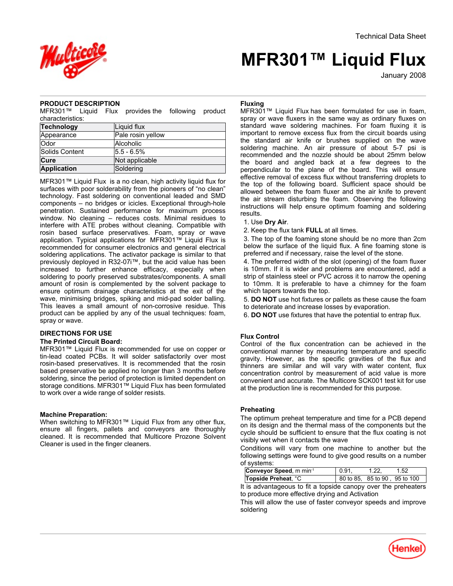

# **MFR301™ Liquid Flux**

January-2008

## **PRODUCT DESCRIPTION**

MFR301™ Liquid Flux provides the following product characteristics:

| Technology         | Liquid flux       |  |
|--------------------|-------------------|--|
| Appearance         | Pale rosin yellow |  |
| <b>Odor</b>        | Alcoholic         |  |
| Solids Content     | $ 5.5 - 6.5\% $   |  |
| Cure               | Not applicable    |  |
| <b>Application</b> | Soldering         |  |

MFR301™ Liquid Flux is a no clean, high activity liquid flux for surfaces with poor solderability from the pioneers of "no clean" technology. Fast soldering on conventional leaded and SMD components – no bridges or icicles. Exceptional through-hole penetration. Sustained performance for maximum process window. No cleaning – reduces costs. Minimal residues to interfere with ATE probes without cleaning. Compatible with rosin based surface preservatives. Foam, spray or wave application. Typical applications for MFR301™ Liquid Flux is recommended for consumer electronics and general electrical soldering applications. The activator package is similar to that previously deployed in R32-07i™, but the acid value has been increased to further enhance efficacy, especially when soldering to poorly preserved substrates/components. A small amount of rosin is complemented by the solvent package to ensure optimum drainage characteristics at the exit of the wave, minimising bridges, spiking and mid-pad solder balling. This leaves a small amount of non-corrosive residue. This product can be applied by any of the usual techniques: foam, spray or wave.

# **DIRECTIONS FOR USE**

## **The Printed Circuit Board:**

MFR301™ Liquid Flux is recommended for use on copper or tin-lead coated PCBs. It will solder satisfactorily over most rosin-based preservatives. It is recommended that the rosin based preservative be applied no longer than 3 months before soldering, since the period of protection is limited dependent on storage conditions. MFR301™ Liquid Flux has been formulated to work over a wide range of solder resists.

## **Machine Preparation:**

When switching to MFR301™ Liquid Flux from any other flux, ensure all fingers, pallets and conveyors are thoroughly cleaned. It is recommended that Multicore Prozone Solvent Cleaner is used in the finger cleaners.

## **Fluxing**

MFR301™ Liquid Flux has been formulated for use in foam, spray or wave fluxers in the same way as ordinary fluxes on standard wave soldering machines. For foam fluxing it is important to remove excess flux from the circuit boards using the standard air knife or brushes supplied on the wave soldering machine. An air pressure of about 5-7 psi is recommended and the nozzle should be about 25mm below the board and angled back at a few degrees to the perpendicular to the plane of the board. This will ensure effective removal of excess flux without transferring droplets to the top of the following board. Sufficient space should be allowed between the foam fluxer and the air knife to prevent the air stream disturbing the foam. Observing the following instructions will help ensure optimum foaming and soldering results.

1. Use **Dry Air**.

2. Keep the flux tank **FULL** at all times.

3. The top of the foaming stone should be no more than 2cm below the surface of the liquid flux. A fine foaming stone is preferred and if necessary, raise the level of the stone.

4. The preferred width of the slot (opening) of the foam fluxer is 10mm. If it is wider and problems are encountered, add a strip of stainless steel or PVC across it to narrow the opening to 10mm. It is preferable to have a chimney for the foam which tapers towards the top.

5. **DO NOT** use hot fixtures or pallets as these cause the foam to deteriorate and increase losses by evaporation.

6. **DO NOT** use fixtures that have the potential to entrap flux.

## **Flux Control**

Control of the flux concentration can be achieved in the conventional manner by measuring temperature and specific gravity. However, as the specific gravities of the flux and thinners are similar and will vary with water content, flux concentration control by measurement of acid value is more convenient and accurate. The Multicore SCK001 test kit for use at the production line is recommended for this purpose.

# **Preheating**

The optimum preheat temperature and time for a PCB depend on its design and the thermal mass of the components but the cycle should be sufficient to ensure that the flux coating is not visibly wet when it contacts the wave

Conditions will vary from one machine to another but the following settings were found to give good results on a number of systems:

| Conveyor Speed, m min-1 | $^{\circ}$ 0.91. | 1.22. | - 1.52                        |
|-------------------------|------------------|-------|-------------------------------|
| Topside Preheat, °C     |                  |       | 80 to 85, 85 to 90, 95 to 100 |

It is advantageous to fit a topside canopy over the preheaters to produce more effective drying and Activation

This will allow the use of faster conveyor speeds and improve soldering